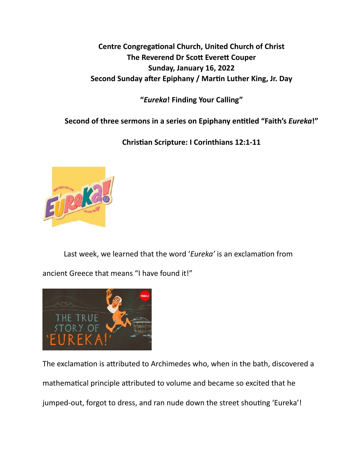**Centre Congregational Church, United Church of Christ The Reverend Dr Scott Everett Couper Sunday, January 16, 2022**  Second Sunday after Epiphany / Martin Luther King, Jr. Day

**"***Eureka***! Finding Your Calling"** 

**Second of three sermons in a series on Epiphany en\*tled "Faith's** *Eureka***!"** 

**Chris\*an Scripture: I Corinthians 12:1-11** 



Last week, we learned that the word 'Eureka' is an exclamation from

ancient Greece that means "I have found it!"



The exclamation is attributed to Archimedes who, when in the bath, discovered a mathematical principle attributed to volume and became so excited that he jumped-out, forgot to dress, and ran nude down the street shouting 'Eureka'!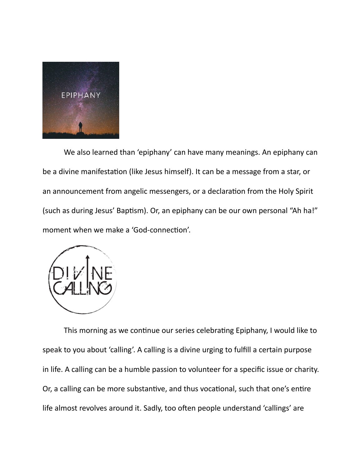

We also learned than 'epiphany' can have many meanings. An epiphany can be a divine manifestation (like Jesus himself). It can be a message from a star, or an announcement from angelic messengers, or a declaration from the Holy Spirit (such as during Jesus' Baptism). Or, an epiphany can be our own personal "Ah ha!" moment when we make a 'God-connection'.



This morning as we continue our series celebrating Epiphany, I would like to speak to you about 'calling'. A calling is a divine urging to fulfill a certain purpose in life. A calling can be a humble passion to volunteer for a specific issue or charity. Or, a calling can be more substantive, and thus vocational, such that one's entire life almost revolves around it. Sadly, too often people understand 'callings' are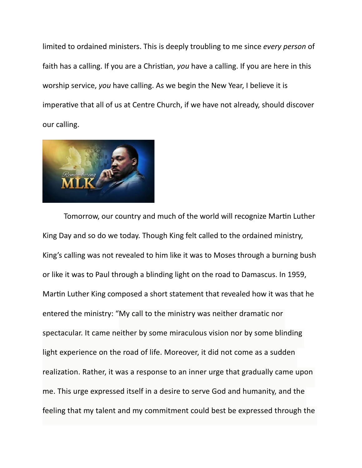limited to ordained ministers. This is deeply troubling to me since *every person* of faith has a calling. If you are a Christian, *you* have a calling. If you are here in this worship service, *you* have calling. As we begin the New Year, I believe it is imperative that all of us at Centre Church, if we have not already, should discover our calling.



Tomorrow, our country and much of the world will recognize Martin Luther King Day and so do we today. Though King felt called to the ordained ministry, King's calling was not revealed to him like it was to Moses through a burning bush or like it was to Paul through a blinding light on the road to Damascus. In 1959, Martin Luther King composed a short statement that revealed how it was that he entered the ministry: "My call to the ministry was neither dramatic nor spectacular. It came neither by some miraculous vision nor by some blinding light experience on the road of life. Moreover, it did not come as a sudden realization. Rather, it was a response to an inner urge that gradually came upon me. This urge expressed itself in a desire to serve God and humanity, and the feeling that my talent and my commitment could best be expressed through the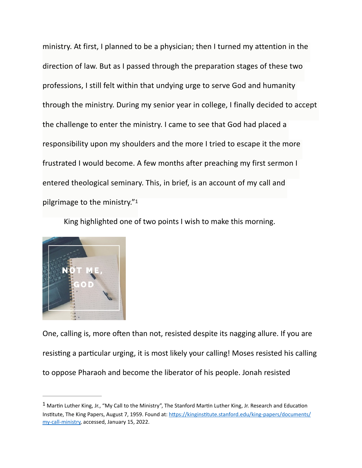ministry. At first, I planned to be a physician; then I turned my attention in the direction of law. But as I passed through the preparation stages of these two professions, I still felt within that undying urge to serve God and humanity through the ministry. During my senior year in college, I finally decided to accept the challenge to enter the ministry. I came to see that God had placed a responsibility upon my shoulders and the more I tried to escape it the more frustrated I would become. A few months after preaching my first sermon I entered theological seminary. This, in brief, is an account of my call and pilgrimage to the ministry."[1](#page-3-0)

<span id="page-3-1"></span>King highlighted one of two points I wish to make this morning.



One, calling is, more often than not, resisted despite its nagging allure. If you are resisting a particular urging, it is most likely your calling! Moses resisted his calling to oppose Pharaoh and become the liberator of his people. Jonah resisted

<span id="page-3-0"></span> $1$ Martin Luther King, Jr., "My Call to the Ministry", The Stanford Martin Luther King, Jr. Research and Education Institute, The King Papers, August 7, 1959. Found at: https://kinginstitute.stanford.edu/king-papers/documents/ [my-call-ministry](https://kinginstitute.stanford.edu/king-papers/documents/my-call-ministry), accessed, January 15, 2022.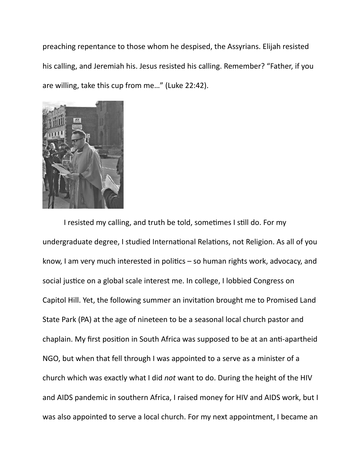preaching repentance to those whom he despised, the Assyrians. Elijah resisted his calling, and Jeremiah his. Jesus resisted his calling. Remember? "Father, if you are willing, take this cup from me…" (Luke 22:42).



I resisted my calling, and truth be told, sometimes I still do. For my undergraduate degree, I studied International Relations, not Religion. As all of you know, I am very much interested in politics  $-$  so human rights work, advocacy, and social justice on a global scale interest me. In college, I lobbied Congress on Capitol Hill. Yet, the following summer an invitation brought me to Promised Land State Park (PA) at the age of nineteen to be a seasonal local church pastor and chaplain. My first position in South Africa was supposed to be at an anti-apartheid NGO, but when that fell through I was appointed to a serve as a minister of a church which was exactly what I did *not* want to do. During the height of the HIV and AIDS pandemic in southern Africa, I raised money for HIV and AIDS work, but I was also appointed to serve a local church. For my next appointment, I became an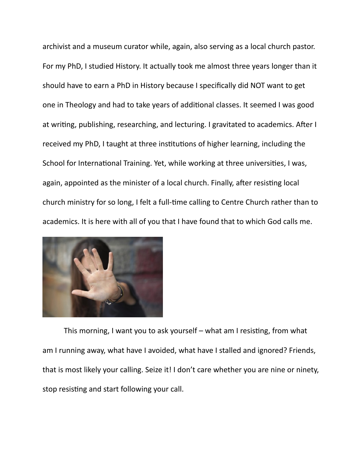archivist and a museum curator while, again, also serving as a local church pastor. For my PhD, I studied History. It actually took me almost three years longer than it should have to earn a PhD in History because I specifically did NOT want to get one in Theology and had to take years of additional classes. It seemed I was good at writing, publishing, researching, and lecturing. I gravitated to academics. After I received my PhD, I taught at three institutions of higher learning, including the School for International Training. Yet, while working at three universities, I was, again, appointed as the minister of a local church. Finally, after resisting local church ministry for so long, I felt a full-time calling to Centre Church rather than to academics. It is here with all of you that I have found that to which God calls me.



This morning, I want you to ask yourself  $-$  what am I resisting, from what am I running away, what have I avoided, what have I stalled and ignored? Friends, that is most likely your calling. Seize it! I don't care whether you are nine or ninety, stop resisting and start following your call.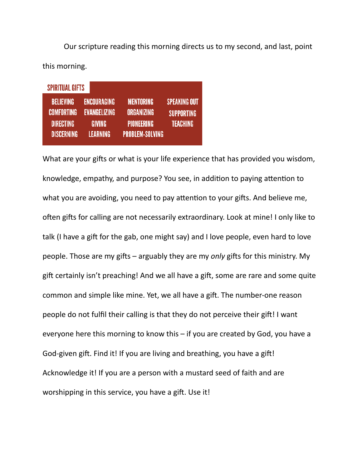Our scripture reading this morning directs us to my second, and last, point this morning.

| <b>SPIRITUAL GIFTS</b>                                                         |                                                                               |                                                                        |                                                      |
|--------------------------------------------------------------------------------|-------------------------------------------------------------------------------|------------------------------------------------------------------------|------------------------------------------------------|
| <b>BELIEVING</b><br><b>COMFORTING</b><br><b>DIRECTING</b><br><b>DISCERNING</b> | <b>ENCOURAGING</b><br><b>EVANGELIZING</b><br><b>GIVING</b><br><b>LEARNING</b> | <b>MENTORING</b><br>ORGANIZING<br><b>PIONEERING</b><br>PROBLEM-SOLVING | <b>SPEAKING OUT</b><br><b>SUPPORTING</b><br>TEACHING |

What are your gifts or what is your life experience that has provided you wisdom, knowledge, empathy, and purpose? You see, in addition to paying attention to what you are avoiding, you need to pay attention to your gifts. And believe me, often gifts for calling are not necessarily extraordinary. Look at mine! I only like to talk (I have a gift for the gab, one might say) and I love people, even hard to love people. Those are my gifts – arguably they are my *only* gifts for this ministry. My gift certainly isn't preaching! And we all have a gift, some are rare and some quite common and simple like mine. Yet, we all have a gift. The number-one reason people do not fulfil their calling is that they do not perceive their gift! I want everyone here this morning to know this – if you are created by God, you have a God-given gift. Find it! If you are living and breathing, you have a gift! Acknowledge it! If you are a person with a mustard seed of faith and are worshipping in this service, you have a gift. Use it!